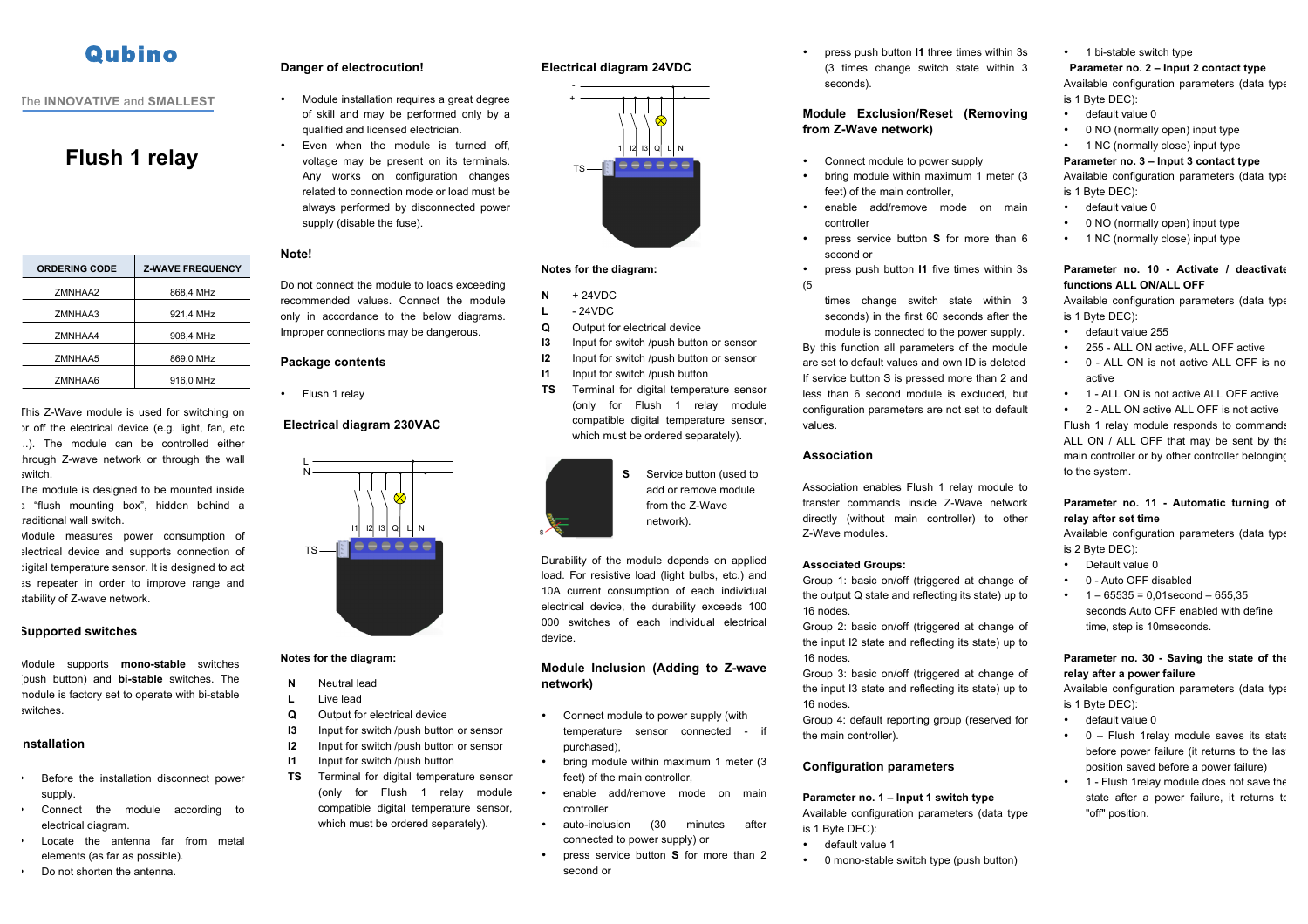# **Qubino**

## The **INNOVATIVE** and **SMALLEST**

## **Flush 1 relay**

| <b>ORDERING CODE</b> | <b>Z WAVE FREQUENCY</b> |
|----------------------|-------------------------|
| ZMNHAA2              | 868,4 MHz               |
| ZMNHAA3              | 921,4 MHz               |
| ZMNHAA4              | 908.4 MHz               |
| ZMNHAA5              | 869,0 MHz               |
| ZMNHAA6              | 916.0 MHz               |

This Z-Wave module is used for switching on or off the electrical device (e.g. light, fan, etc ...). The module can be controlled either hrough Z-wave network or through the wall switch.

The module is designed to be mounted inside a "flush mounting box", hidden behind a raditional wall switch.

Module measures power consumption of electrical device and supports connection of digital temperature sensor. It is designed to act as repeater in order to improve range and stability of Z-wave network.

## **Supported switches**

Module supports **mono-stable** switches (push button) and **bi-stable** switches. The module is factory set to operate with bi-stable switches.

## **Installation**

- Before the installation disconnect power supply.
- Connect the module according to electrical diagram.
- Locate the antenna far from metal elements (as far as possible).
- Do not shorten the antenna.

## **Danger of electrocution!**

- Module installation requires a great degree of skill and may be performed only by a qualified and licensed electrician.
- Fyen when the module is turned off voltage may be present on its terminals. Any works on configuration changes related to connection mode or load must be always performed by disconnected power supply (disable the fuse).

## **Note!**

Do not connect the module to loads exceeding recommended values. Connect the module only in accordance to the below diagrams. Improper connections may be dangerous.

#### **Package contents**

• Flush 1 relay

### **Electrical diagram 230VAC**



#### **Notes for the diagram:**

- **N** Neutral lead **L** Live lead
- 
- **Q** Output for electrical device
- **I3** Input for switch /push button or sensor
- **I2** Input for switch /push button or sensor
- **I1** Input for switch /push button
- **TS** Terminal for digital temperature sensor (only for Flush 1 relay module compatible digital temperature sensor, which must be ordered separately).
	- enable add/remove mode on main
		- controller • auto-inclusion (30 minutes after connected to power supply) or
			- press service button **S** for more than 2 second or

• press push button **I1** three times within 3s (3 times change switch state within 3 seconds).

## **Module Exclusion/Reset (Removing from Z-Wave network)**

- Connect module to power supply
- bring module within maximum 1 meter (3 feet) of the main controller
- enable add/remove mode on main controller
- press service button **S** for more than 6 second or
- press push button **I1** five times within 3s (5
	- times change switch state within 3 seconds) in the first 60 seconds after the

module is connected to the power supply. By this function all parameters of the module are set to default values and own ID is deleted If service button S is pressed more than 2 and less than 6 second module is excluded, but configuration parameters are not set to default values.

## **Association**

Association enables Flush 1 relay module to transfer commands inside Z-Wave network directly (without main controller) to other Z-Wave modules.

#### **Associated Groups:**

Group 1: basic on/off (triggered at change of the output Q state and reflecting its state) up to 16 nodes.

Group 2: basic on/off (triggered at change of the input I2 state and reflecting its state) up to 16 nodes.

Group 3: basic on/off (triggered at change of the input I3 state and reflecting its state) up to 16 nodes.

Group 4: default reporting group (reserved for the main controller).

#### **Configuration parameters**

**Parameter no. 1 – Input 1 switch type**

Available configuration parameters (data type is 1 Byte DEC):

- default value 1
- 0 mono-stable switch type (push button)

• 1 bi-stable switch type

#### **Parameter no. 2 – Input 2 contact type**

Available configuration parameters (data type is 1 Byte DEC):

- default value 0
- 0 NO (normally open) input type
- 1 NC (normally close) input type

## **Parameter no. 3 – Input 3 contact type**

Available configuration parameters (data type is 1 Byte DEC):

- default value 0
- 0 NO (normally open) input type
- 1 NC (normally close) input type

## **Parameter no. 10 - Activate / deactivate functions ALL ON/ALL OFF**

Available configuration parameters (data type is 1 Byte DEC):

- default value 255
- 255 ALL ON active, ALL OFF active
- 0 ALL ON is not active ALL OFF is no active
- 1 ALL ON is not active ALL OFF active

• 2 - ALL ON active ALL OFF is not active Flush 1 relay module responds to commands ALL ON / ALL OFF that may be sent by the main controller or by other controller belonging to the system.

## Parameter no. 11 - Automatic turning of **relay after set time**

Available configuration parameters (data type is 2 Byte DEC):

- Default value 0
- 0 Auto OFF disabled
- $\cdot$  1 65535 = 0.01 second 655.35 seconds Auto OFF enabled with define time, step is 10mseconds.

## **Parameter no. 30 - Saving the state of the relay after a power failure**

Available configuration parameters (data type is 1 Byte DEC):

- default value 0
- 0 Flush 1relay module saves its state before power failure (it returns to the last position saved before a power failure)
- 1 Flush 1relay module does not save the state after a power failure, it returns to "off" position.



**Electrical diagram 24VDC**

**Notes for the diagram:**

**Q** Output for electrical device

**I3** Input for switch /push button or sensor **I2** Input for switch /push button or sensor **I1** Input for switch /push button

**TS** Terminal for digital temperature sensor (only for Flush 1 relay module compatible digital temperature sensor,

 $N + 24VDC$ **L** - 24VDC

+ -

TS

**S** Service button (used to add or remove module from the Z-Wave network).

Durability of the module depends on applied

load. For resistive load (light bulbs, etc.) and 10A current consumption of each individual electrical device, the durability exceeds 100 000 switches of each individual electrical device.

## **Module Inclusion (Adding to Z-wave network)**

- Connect module to power supply (with temperature sensor connected - if purchased),
- feet) of the main controller,
- 
- 
- 
- 
- bring module within maximum 1 meter (3
- 

I1 I2 I3 Q L N